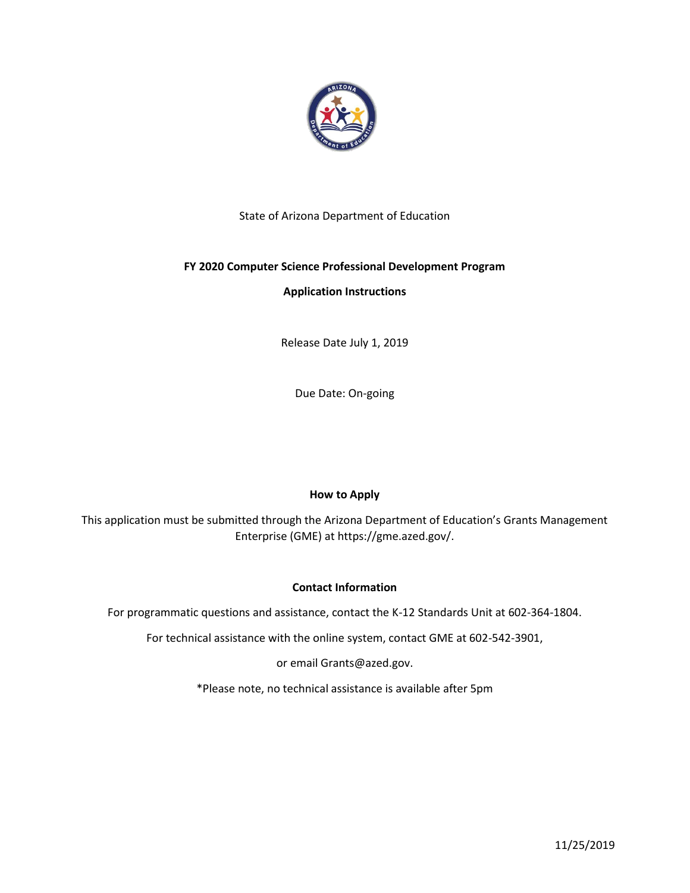

# State of Arizona Department of Education

# **FY 2020 Computer Science Professional Development Program**

## **Application Instructions**

Release Date July 1, 2019

Due Date: On-going

## **How to Apply**

This application must be submitted through the Arizona Department of Education's Grants Management Enterprise (GME) at https://gme.azed.gov/.

## **Contact Information**

For programmatic questions and assistance, contact the K-12 Standards Unit at 602-364-1804.

For technical assistance with the online system, contact GME at 602-542-3901,

or email Grants@azed.gov.

\*Please note, no technical assistance is available after 5pm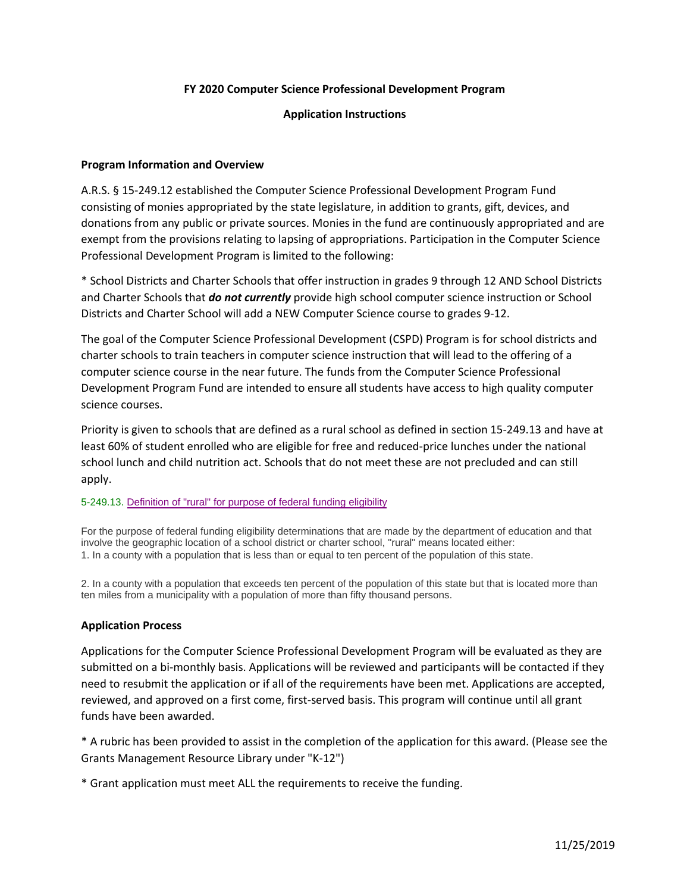### **FY 2020 Computer Science Professional Development Program**

### **Application Instructions**

### **Program Information and Overview**

A.R.S. § 15-249.12 established the Computer Science Professional Development Program Fund consisting of monies appropriated by the state legislature, in addition to grants, gift, devices, and donations from any public or private sources. Monies in the fund are continuously appropriated and are exempt from the provisions relating to lapsing of appropriations. Participation in the Computer Science Professional Development Program is limited to the following:

\* School Districts and Charter Schools that offer instruction in grades 9 through 12 AND School Districts and Charter Schools that *do not currently* provide high school computer science instruction or School Districts and Charter School will add a NEW Computer Science course to grades 9-12.

The goal of the Computer Science Professional Development (CSPD) Program is for school districts and charter schools to train teachers in computer science instruction that will lead to the offering of a computer science course in the near future. The funds from the Computer Science Professional Development Program Fund are intended to ensure all students have access to high quality computer science courses.

Priority is given to schools that are defined as a rural school as defined in section 15-249.13 and have at least 60% of student enrolled who are eligible for free and reduced-price lunches under the national school lunch and child nutrition act. Schools that do not meet these are not precluded and can still apply.

#### 5-249.13. Definition of "rural" for purpose of federal funding eligibility

For the purpose of federal funding eligibility determinations that are made by the department of education and that involve the geographic location of a school district or charter school, "rural" means located either: 1. In a county with a population that is less than or equal to ten percent of the population of this state.

2. In a county with a population that exceeds ten percent of the population of this state but that is located more than ten miles from a municipality with a population of more than fifty thousand persons.

#### **Application Process**

Applications for the Computer Science Professional Development Program will be evaluated as they are submitted on a bi-monthly basis. Applications will be reviewed and participants will be contacted if they need to resubmit the application or if all of the requirements have been met. Applications are accepted, reviewed, and approved on a first come, first-served basis. This program will continue until all grant funds have been awarded.

\* A rubric has been provided to assist in the completion of the application for this award. (Please see the Grants Management Resource Library under "K-12")

\* Grant application must meet ALL the requirements to receive the funding.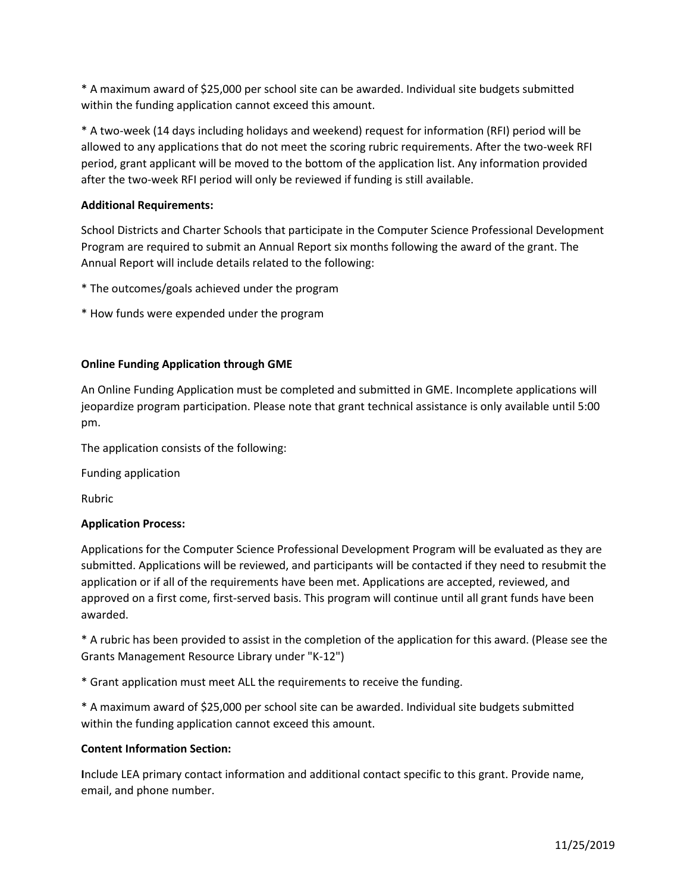\* A maximum award of \$25,000 per school site can be awarded. Individual site budgets submitted within the funding application cannot exceed this amount.

\* A two-week (14 days including holidays and weekend) request for information (RFI) period will be allowed to any applications that do not meet the scoring rubric requirements. After the two-week RFI period, grant applicant will be moved to the bottom of the application list. Any information provided after the two-week RFI period will only be reviewed if funding is still available.

## **Additional Requirements:**

School Districts and Charter Schools that participate in the Computer Science Professional Development Program are required to submit an Annual Report six months following the award of the grant. The Annual Report will include details related to the following:

- \* The outcomes/goals achieved under the program
- \* How funds were expended under the program

## **Online Funding Application through GME**

An Online Funding Application must be completed and submitted in GME. Incomplete applications will jeopardize program participation. Please note that grant technical assistance is only available until 5:00 pm.

The application consists of the following:

Funding application

Rubric

## **Application Process:**

Applications for the Computer Science Professional Development Program will be evaluated as they are submitted. Applications will be reviewed, and participants will be contacted if they need to resubmit the application or if all of the requirements have been met. Applications are accepted, reviewed, and approved on a first come, first-served basis. This program will continue until all grant funds have been awarded.

\* A rubric has been provided to assist in the completion of the application for this award. (Please see the Grants Management Resource Library under "K-12")

\* Grant application must meet ALL the requirements to receive the funding.

\* A maximum award of \$25,000 per school site can be awarded. Individual site budgets submitted within the funding application cannot exceed this amount.

## **Content Information Section:**

**I**nclude LEA primary contact information and additional contact specific to this grant. Provide name, email, and phone number.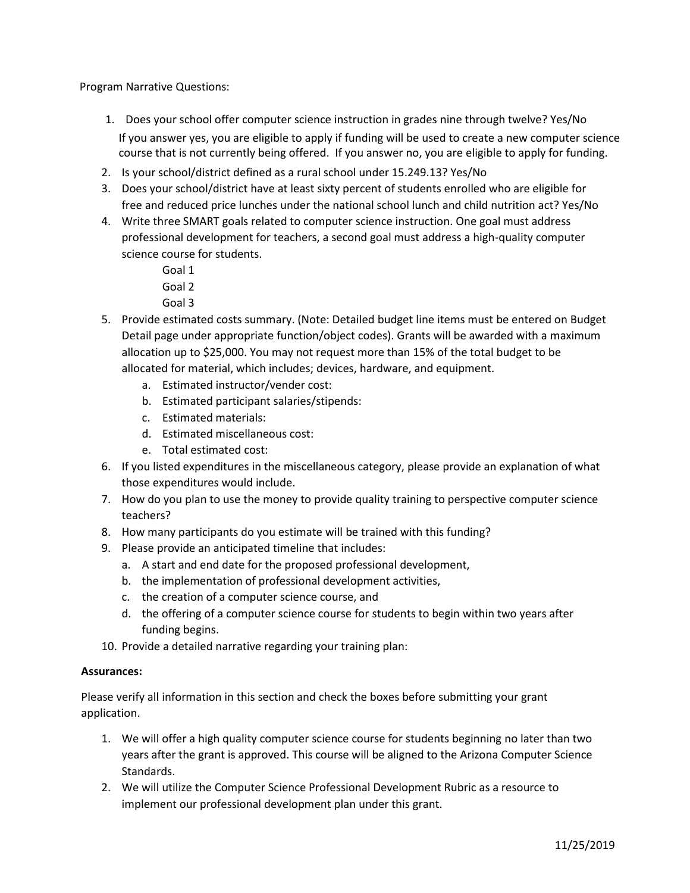Program Narrative Questions:

- 1. Does your school offer computer science instruction in grades nine through twelve? Yes/No If you answer yes, you are eligible to apply if funding will be used to create a new computer science course that is not currently being offered. If you answer no, you are eligible to apply for funding.
- 2. Is your school/district defined as a rural school under 15.249.13? Yes/No
- 3. Does your school/district have at least sixty percent of students enrolled who are eligible for free and reduced price lunches under the national school lunch and child nutrition act? Yes/No
- 4. Write three SMART goals related to computer science instruction. One goal must address professional development for teachers, a second goal must address a high-quality computer science course for students.
	- Goal 1 Goal 2
	- Goal 3
- 5. Provide estimated costs summary. (Note: Detailed budget line items must be entered on Budget Detail page under appropriate function/object codes). Grants will be awarded with a maximum allocation up to \$25,000. You may not request more than 15% of the total budget to be allocated for material, which includes; devices, hardware, and equipment.
	- a. Estimated instructor/vender cost:
	- b. Estimated participant salaries/stipends:
	- c. Estimated materials:
	- d. Estimated miscellaneous cost:
	- e. Total estimated cost:
- 6. If you listed expenditures in the miscellaneous category, please provide an explanation of what those expenditures would include.
- 7. How do you plan to use the money to provide quality training to perspective computer science teachers?
- 8. How many participants do you estimate will be trained with this funding?
- 9. Please provide an anticipated timeline that includes:
	- a. A start and end date for the proposed professional development,
	- b. the implementation of professional development activities,
	- c. the creation of a computer science course, and
	- d. the offering of a computer science course for students to begin within two years after funding begins.
- 10. Provide a detailed narrative regarding your training plan:

#### **Assurances:**

Please verify all information in this section and check the boxes before submitting your grant application.

- 1. We will offer a high quality computer science course for students beginning no later than two years after the grant is approved. This course will be aligned to the Arizona Computer Science Standards.
- 2. We will utilize the Computer Science Professional Development Rubric as a resource to implement our professional development plan under this grant.